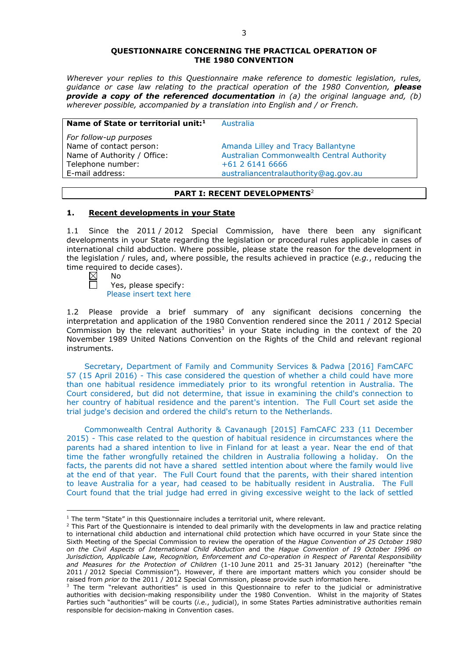### **QUESTIONNAIRE CONCERNING THE PRACTICAL OPERATION OF THE 1980 CONVENTION**

*Wherever your replies to this Questionnaire make reference to domestic legislation, rules, guidance or case law relating to the practical operation of the 1980 Convention, please provide a copy of the referenced documentation in (a) the original language and, (b) wherever possible, accompanied by a translation into English and / or French.* 

### **Name of State or territorial unit:**<sup>1</sup> Australia

*For follow-up purposes* Telephone number: +61 2 6141 6666

Name of contact person: Amanda Lilley and Tracy Ballantyne Name of Authority / Office: Australian Commonwealth Central Authority E-mail address: australiancentralauthority@ag.gov.au

### **PART I: RECENT DEVELOPMENTS**<sup>2</sup>

### **1. Recent developments in your State**

1.1 Since the 2011 / 2012 Special Commission, have there been any significant developments in your State regarding the legislation or procedural rules applicable in cases of international child abduction. Where possible, please state the reason for the development in the legislation / rules, and, where possible, the results achieved in practice (*e.g.*, reducing the time required to decide cases).<br>  $\boxtimes$  No<br>  $\Box$  Yes, please specify:

No

<u>.</u>

Yes, please specify: Please insert text here

1.2 Please provide a brief summary of any significant decisions concerning the interpretation and application of the 1980 Convention rendered since the 2011 / 2012 Special Commission by the relevant authorities<sup>3</sup> in your State including in the context of the 20 November 1989 United Nations Convention on the Rights of the Child and relevant regional instruments.

Secretary, Department of Family and Community Services & Padwa [2016] FamCAFC 57 (15 April 2016) - This case considered the question of whether a child could have more than one habitual residence immediately prior to its wrongful retention in Australia. The Court considered, but did not determine, that issue in examining the child's connection to her country of habitual residence and the parent's intention. The Full Court set aside the trial judge's decision and ordered the child's return to the Netherlands.

Commonwealth Central Authority & Cavanaugh [2015] FamCAFC 233 (11 December 2015) - This case related to the question of habitual residence in circumstances where the parents had a shared intention to live in Finland for at least a year. Near the end of that time the father wrongfully retained the children in Australia following a holiday. On the facts, the parents did not have a shared settled intention about where the family would live at the end of that year. The Full Court found that the parents, with their shared intention to leave Australia for a year, had ceased to be habitually resident in Australia. The Full Court found that the trial judge had erred in giving excessive weight to the lack of settled

<sup>&</sup>lt;sup>1</sup> The term "State" in this Questionnaire includes a territorial unit, where relevant.

 $<sup>2</sup>$  This Part of the Questionnaire is intended to deal primarily with the developments in law and practice relating</sup> to international child abduction and international child protection which have occurred in your State since the Sixth Meeting of the Special Commission to review the operation of the *Hague Convention of 25 October 1980 on the Civil Aspects of International Child Abduction* and the *Hague Convention of 19 October 1996 on Jurisdiction, Applicable Law, Recognition, Enforcement and Co-operation in Respect of Parental Responsibility and Measures for the Protection of Children* (1-10 June 2011 and 25-31 January 2012) (hereinafter "the 2011 / 2012 Special Commission"). However, if there are important matters which you consider should be raised from *prior to* the 2011 / 2012 Special Commission, please provide such information here.

 $3$  The term "relevant authorities" is used in this Questionnaire to refer to the judicial or administrative authorities with decision-making responsibility under the 1980 Convention. Whilst in the majority of States Parties such "authorities" will be courts (*i.e.*, judicial), in some States Parties administrative authorities remain responsible for decision-making in Convention cases.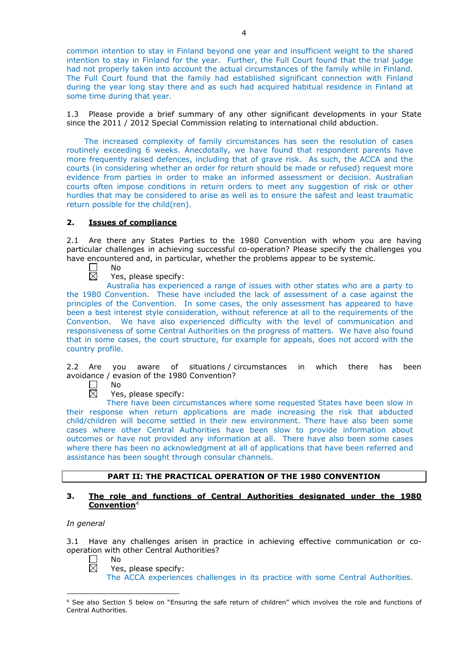common intention to stay in Finland beyond one year and insufficient weight to the shared intention to stay in Finland for the year. Further, the Full Court found that the trial judge had not properly taken into account the actual circumstances of the family while in Finland. The Full Court found that the family had established significant connection with Finland during the year long stay there and as such had acquired habitual residence in Finland at some time during that year.

1.3 Please provide a brief summary of any other significant developments in your State since the 2011 / 2012 Special Commission relating to international child abduction.

The increased complexity of family circumstances has seen the resolution of cases routinely exceeding 6 weeks. Anecdotally, we have found that respondent parents have more frequently raised defences, including that of grave risk. As such, the ACCA and the courts (in considering whether an order for return should be made or refused) request more evidence from parties in order to make an informed assessment or decision. Australian courts often impose conditions in return orders to meet any suggestion of risk or other hurdles that may be considered to arise as well as to ensure the safest and least traumatic return possible for the child(ren).

## **2. Issues of compliance**

2.1 Are there any States Parties to the 1980 Convention with whom you are having particular challenges in achieving successful co-operation? Please specify the challenges you have encountered and, in particular, whether the problems appear to be systemic.

No  $\mathsf{L}$ 岗

Yes, please specify:

Australia has experienced a range of issues with other states who are a party to the 1980 Convention. These have included the lack of assessment of a case against the principles of the Convention. In some cases, the only assessment has appeared to have been a best interest style consideration, without reference at all to the requirements of the Convention. We have also experienced difficulty with the level of communication and responsiveness of some Central Authorities on the progress of matters. We have also found that in some cases, the court structure, for example for appeals, does not accord with the country profile.

2.2 Are you aware of situations / circumstances in which there has been avoidance / evasion of the 1980 Convention?

П No  $\overline{\boxtimes}$ 

Yes, please specify:

There have been circumstances where some requested States have been slow in their response when return applications are made increasing the risk that abducted child/children will become settled in their new environment. There have also been some cases where other Central Authorities have been slow to provide information about outcomes or have not provided any information at all. There have also been some cases where there has been no acknowledgment at all of applications that have been referred and assistance has been sought through consular channels.

## **PART II: THE PRACTICAL OPERATION OF THE 1980 CONVENTION**

### **3. The role and functions of Central Authorities designated under the 1980 Convention**<sup>4</sup>

*In general*

-

3.1 Have any challenges arisen in practice in achieving effective communication or cooperation with other Central Authorities? No

П  $\overline{\boxtimes}$ 

Yes, please specify:

The ACCA experiences challenges in its practice with some Central Authorities.

<sup>4</sup> See also Section 5 below on "Ensuring the safe return of children" which involves the role and functions of Central Authorities.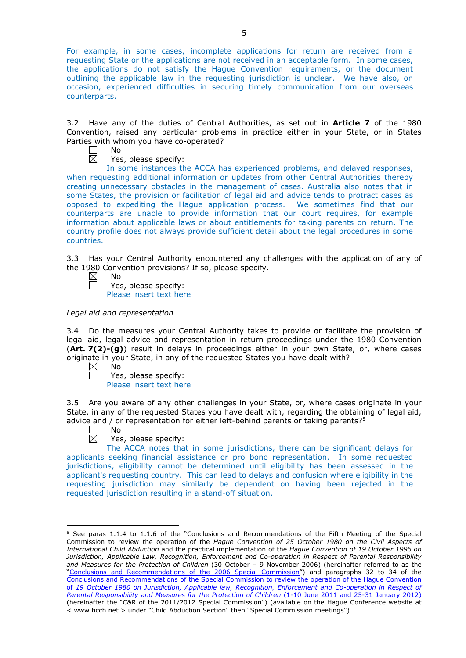For example, in some cases, incomplete applications for return are received from a requesting State or the applications are not received in an acceptable form. In some cases, the applications do not satisfy the Hague Convention requirements, or the document outlining the applicable law in the requesting jurisdiction is unclear. We have also, on occasion, experienced difficulties in securing timely communication from our overseas counterparts.

3.2 Have any of the duties of Central Authorities, as set out in **Article 7** of the 1980 Convention, raised any particular problems in practice either in your State, or in States Parties with whom you have co-operated?

No ⊠

Yes, please specify:

In some instances the ACCA has experienced problems, and delayed responses, when requesting additional information or updates from other Central Authorities thereby creating unnecessary obstacles in the management of cases. Australia also notes that in some States, the provision or facilitation of legal aid and advice tends to protract cases as opposed to expediting the Hague application process. We sometimes find that our counterparts are unable to provide information that our court requires, for example information about applicable laws or about entitlements for taking parents on return. The country profile does not always provide sufficient detail about the legal procedures in some countries.

3.3 Has your Central Authority encountered any challenges with the application of any of the 1980 Convention provisions? If so, please specify.

 $\boxtimes$ No

 $\Box$ 

Yes, please specify: Please insert text here

*Legal aid and representation*

3.4 Do the measures your Central Authority takes to provide or facilitate the provision of legal aid, legal advice and representation in return proceedings under the 1980 Convention (**Art. 7(2)-(g)**) result in delays in proceedings either in your own State, or, where cases originate in your State, in any of the requested States you have dealt with?

 $\boxtimes$ No  $\Box$ 

Yes, please specify: Please insert text here

3.5 Are you aware of any other challenges in your State, or, where cases originate in your State, in any of the requested States you have dealt with, regarding the obtaining of legal aid, advice and / or representation for either left-behind parents or taking parents?<sup>5</sup>

 $\Box$ No

<u>.</u>

岗 Yes, please specify:

The ACCA notes that in some jurisdictions, there can be significant delays for applicants seeking financial assistance or pro bono representation. In some requested jurisdictions, eligibility cannot be determined until eligibility has been assessed in the applicant's requesting country. This can lead to delays and confusion where eligibility in the requesting jurisdiction may similarly be dependent on having been rejected in the requested jurisdiction resulting in a stand-off situation.

<sup>5</sup> See paras 1.1.4 to 1.1.6 of the "Conclusions and Recommendations of the Fifth Meeting of the Special Commission to review the operation of the *Hague Convention of 25 October 1980 on the Civil Aspects of International Child Abduction* and the practical implementation of the *Hague Convention of 19 October 1996 on Jurisdiction, Applicable Law, Recognition, Enforcement and Co-operation in Respect of Parental Responsibility and Measures for the Protection of Children* (30 October – 9 November 2006) (hereinafter referred to as the ["Conclusions and Recommendations of the 2006 Special Commission"](https://assets.hcch.net/upload/concl28sc5_e.pdf)) and paragraphs 32 to 34 of the [Conclusions and Recommendations of the Special Commission](https://assets.hcch.net/upload/wop/concl28sc6_e.pdf) to review the operation of the Hague Convention of *[19 October 1980 on Jurisdiction, Applicable law, Recognition, Enforcement and Co-operation in Respect of](https://assets.hcch.net/upload/wop/concl28sc6_e.pdf)  [Parental Responsibility and Measures for the Protection of Children](https://assets.hcch.net/upload/wop/concl28sc6_e.pdf)* (1-10 June 2011 and 25-31 January 2012) (hereinafter the "C&R of the 2011/2012 Special Commission") (available on the Hague Conference website at < www.hcch.net > under "Child Abduction Section" then "Special Commission meetings").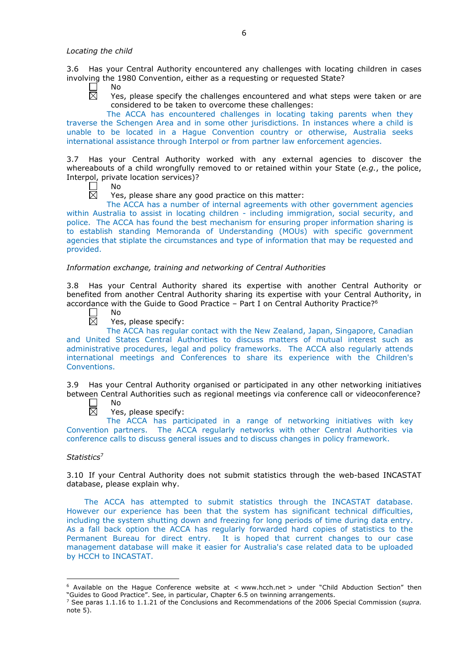3.6 Has your Central Authority encountered any challenges with locating children in cases involving the 1980 Convention, either as a requesting or requested State?

- $\mathbf{L}$ No 岗
	- Yes, please specify the challenges encountered and what steps were taken or are considered to be taken to overcome these challenges:

The ACCA has encountered challenges in locating taking parents when they traverse the Schengen Area and in some other jurisdictions. In instances where a child is unable to be located in a Hague Convention country or otherwise, Australia seeks international assistance through Interpol or from partner law enforcement agencies.

3.7 Has your Central Authority worked with any external agencies to discover the whereabouts of a child wrongfully removed to or retained within your State (*e.g.*, the police, Interpol, private location services)?

No

反 Yes, please share any good practice on this matter:

The ACCA has a number of internal agreements with other government agencies within Australia to assist in locating children - including immigration, social security, and police. The ACCA has found the best mechanism for ensuring proper information sharing is to establish standing Memoranda of Understanding (MOUs) with specific government agencies that stiplate the circumstances and type of information that may be requested and provided.

### *Information exchange, training and networking of Central Authorities*

3.8 Has your Central Authority shared its expertise with another Central Authority or benefited from another Central Authority sharing its expertise with your Central Authority, in accordance with the Guide to Good Practice - Part I on Central Authority Practice?<sup>6</sup>

 $\Box$ 岗 No

Yes, please specify:

The ACCA has regular contact with the New Zealand, Japan, Singapore, Canadian and United States Central Authorities to discuss matters of mutual interest such as administrative procedures, legal and policy frameworks. The ACCA also regularly attends international meetings and Conferences to share its experience with the Children's Conventions.

3.9 Has your Central Authority organised or participated in any other networking initiatives between Central Authorities such as regional meetings via conference call or videoconference?

 $\mathbf{L}$ No

岗 Yes, please specify:

The ACCA has participated in a range of networking initiatives with key Convention partners. The ACCA regularly networks with other Central Authorities via conference calls to discuss general issues and to discuss changes in policy framework.

## *Statistics*<sup>7</sup>

-

3.10 If your Central Authority does not submit statistics through the web-based INCASTAT database, please explain why.

The ACCA has attempted to submit statistics through the INCASTAT database. However our experience has been that the system has significant technical difficulties, including the system shutting down and freezing for long periods of time during data entry. As a fall back option the ACCA has regularly forwarded hard copies of statistics to the Permanent Bureau for direct entry. It is hoped that current changes to our case management database will make it easier for Australia's case related data to be uploaded by HCCH to INCASTAT.

 $6$  Available on the Hague Conference website at < www.hcch.net > under "Child Abduction Section" then "Guides to Good Practice". See, in particular, Chapter 6.5 on twinning arrangements.

<sup>7</sup> See paras 1.1.16 to 1.1.21 of the Conclusions and Recommendations of the 2006 Special Commission (*supra.*  note  $5$ ).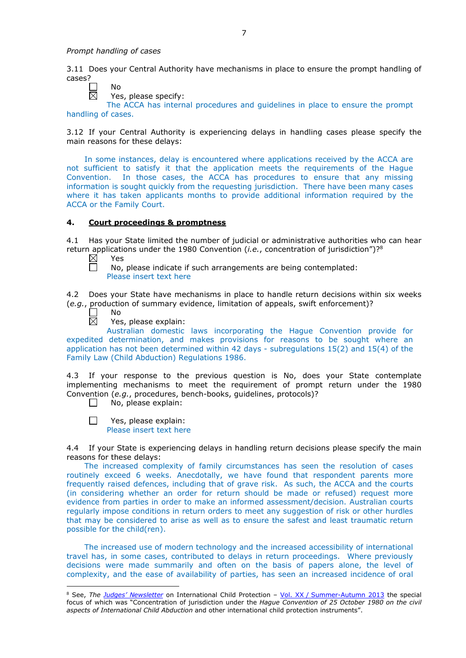No

3.11 Does your Central Authority have mechanisms in place to ensure the prompt handling of cases?

 $\boxtimes$ 

Yes, please specify:

The ACCA has internal procedures and guidelines in place to ensure the prompt handling of cases.

3.12 If your Central Authority is experiencing delays in handling cases please specify the main reasons for these delays:

In some instances, delay is encountered where applications received by the ACCA are not sufficient to satisfy it that the application meets the requirements of the Hague Convention. In those cases, the ACCA has procedures to ensure that any missing information is sought quickly from the requesting jurisdiction. There have been many cases where it has taken applicants months to provide additional information required by the ACCA or the Family Court.

## **4. Court proceedings & promptness**

4.1 Has your State limited the number of judicial or administrative authorities who can hear return applications under the 1980 Convention (*i.e.*, concentration of jurisdiction")?8

 $\boxtimes$ Yes 戸

No, please indicate if such arrangements are being contemplated: Please insert text here

4.2 Does your State have mechanisms in place to handle return decisions within six weeks (*e.g.*, production of summary evidence, limitation of appeals, swift enforcement)?

No 岗

-

Yes, please explain:

Australian domestic laws incorporating the Hague Convention provide for expedited determination, and makes provisions for reasons to be sought where an application has not been determined within 42 days - subregulations 15(2) and 15(4) of the Family Law (Child Abduction) Regulations 1986.

4.3 If your response to the previous question is No, does your State contemplate implementing mechanisms to meet the requirement of prompt return under the 1980 Convention (*e.g.*, procedures, bench-books, guidelines, protocols)?

No, please explain:  $\perp$ 

 $\Box$ Yes, please explain: Please insert text here

4.4 If your State is experiencing delays in handling return decisions please specify the main reasons for these delays:

The increased complexity of family circumstances has seen the resolution of cases routinely exceed 6 weeks. Anecdotally, we have found that respondent parents more frequently raised defences, including that of grave risk. As such, the ACCA and the courts (in considering whether an order for return should be made or refused) request more evidence from parties in order to make an informed assessment/decision. Australian courts regularly impose conditions in return orders to meet any suggestion of risk or other hurdles that may be considered to arise as well as to ensure the safest and least traumatic return possible for the child(ren).

The increased use of modern technology and the increased accessibility of international travel has, in some cases, contributed to delays in return proceedings. Where previously decisions were made summarily and often on the basis of papers alone, the level of complexity, and the ease of availability of parties, has seen an increased incidence of oral

<sup>8</sup> See, *The [Judges' Newsletter](https://www.hcch.net/en/instruments/conventions/publications2/judges-newsletter)* on International Child Protection – Vol. XX / [Summer-Autumn 2013](https://assets.hcch.net/upload/newsletter/nl2013tome20en.pdf) the special focus of which was "Concentration of jurisdiction under the *Hague Convention of 25 October 1980 on the civil aspects of International Child Abduction* and other international child protection instruments".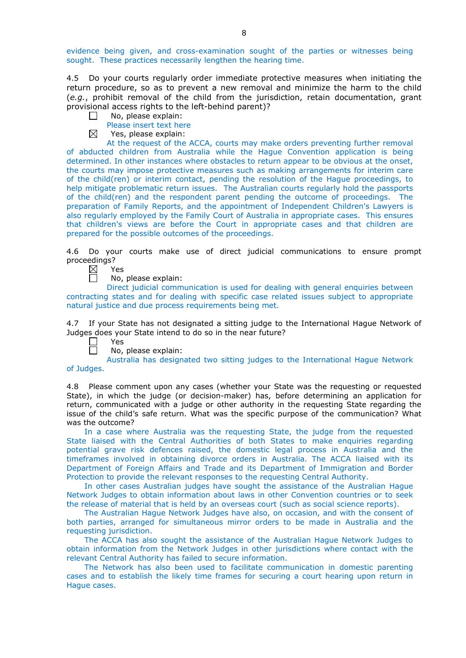evidence being given, and cross-examination sought of the parties or witnesses being sought. These practices necessarily lengthen the hearing time.

4.5 Do your courts regularly order immediate protective measures when initiating the return procedure, so as to prevent a new removal and minimize the harm to the child (*e.g.*, prohibit removal of the child from the jurisdiction, retain documentation, grant provisional access rights to the left-behind parent)?

- $\Box$ No, please explain:
	- Please insert text here
- $\boxtimes$ Yes, please explain:

At the request of the ACCA, courts may make orders preventing further removal of abducted children from Australia while the Hague Convention application is being determined. In other instances where obstacles to return appear to be obvious at the onset, the courts may impose protective measures such as making arrangements for interim care of the child(ren) or interim contact, pending the resolution of the Hague proceedings, to help mitigate problematic return issues. The Australian courts regularly hold the passports of the child(ren) and the respondent parent pending the outcome of proceedings. The preparation of Family Reports, and the appointment of Independent Children's Lawyers is also regularly employed by the Family Court of Australia in appropriate cases. This ensures that children's views are before the Court in appropriate cases and that children are prepared for the possible outcomes of the proceedings.

4.6 Do your courts make use of direct judicial communications to ensure prompt proceedings?

Yes

 $\Box$ 

No, please explain:

Direct judicial communication is used for dealing with general enquiries between contracting states and for dealing with specific case related issues subject to appropriate natural justice and due process requirements being met.

4.7 If your State has not designated a sitting judge to the International Hague Network of Judges does your State intend to do so in the near future?

- Yes
	- No, please explain:

Australia has designated two sitting judges to the International Hague Network of Judges.

4.8 Please comment upon any cases (whether your State was the requesting or requested State), in which the judge (or decision-maker) has, before determining an application for return, communicated with a judge or other authority in the requesting State regarding the issue of the child's safe return. What was the specific purpose of the communication? What was the outcome?

In a case where Australia was the requesting State, the judge from the requested State liaised with the Central Authorities of both States to make enquiries regarding potential grave risk defences raised, the domestic legal process in Australia and the timeframes involved in obtaining divorce orders in Australia. The ACCA liaised with its Department of Foreign Affairs and Trade and its Department of Immigration and Border Protection to provide the relevant responses to the requesting Central Authority.

In other cases Australian judges have sought the assistance of the Australian Hague Network Judges to obtain information about laws in other Convention countries or to seek the release of material that is held by an overseas court (such as social science reports).

The Australian Hague Network Judges have also, on occasion, and with the consent of both parties, arranged for simultaneous mirror orders to be made in Australia and the requesting jurisdiction.

The ACCA has also sought the assistance of the Australian Hague Network Judges to obtain information from the Network Judges in other jurisdictions where contact with the relevant Central Authority has failed to secure information.

The Network has also been used to facilitate communication in domestic parenting cases and to establish the likely time frames for securing a court hearing upon return in Hague cases.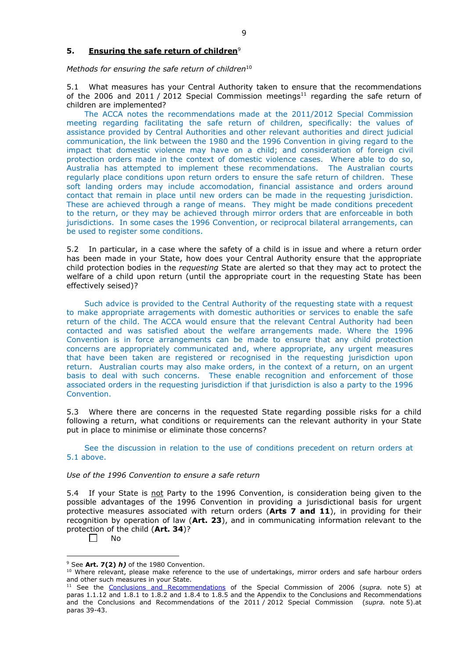## **5. Ensuring the safe return of children**<sup>9</sup>

*Methods for ensuring the safe return of children*<sup>10</sup>

5.1 What measures has your Central Authority taken to ensure that the recommendations of the 2006 and 2011 / 2012 Special Commission meetings<sup>11</sup> regarding the safe return of children are implemented?

The ACCA notes the recommendations made at the 2011/2012 Special Commission meeting regarding facilitating the safe return of children, specifically: the values of assistance provided by Central Authorities and other relevant authorities and direct judicial communication, the link between the 1980 and the 1996 Convention in giving regard to the impact that domestic violence may have on a child; and consideration of foreign civil protection orders made in the context of domestic violence cases. Where able to do so, Australia has attempted to implement these recommendations. The Australian courts regularly place conditions upon return orders to ensure the safe return of children. These soft landing orders may include accomodation, financial assistance and orders around contact that remain in place until new orders can be made in the requesting jurisdiction. These are achieved through a range of means. They might be made conditions precedent to the return, or they may be achieved through mirror orders that are enforceable in both jurisdictions. In some cases the 1996 Convention, or reciprocal bilateral arrangements, can be used to register some conditions.

5.2 In particular, in a case where the safety of a child is in issue and where a return order has been made in your State, how does your Central Authority ensure that the appropriate child protection bodies in the *requesting* State are alerted so that they may act to protect the welfare of a child upon return (until the appropriate court in the requesting State has been effectively seised)?

Such advice is provided to the Central Authority of the requesting state with a request to make appropriate arragements with domestic authorities or services to enable the safe return of the child. The ACCA would ensure that the relevant Central Authority had been contacted and was satisfied about the welfare arrangements made. Where the 1996 Convention is in force arrangements can be made to ensure that any child protection concerns are appropriately communicated and, where appropriate, any urgent measures that have been taken are registered or recognised in the requesting jurisdiction upon return. Australian courts may also make orders, in the context of a return, on an urgent basis to deal with such concerns. These enable recognition and enforcement of those associated orders in the requesting jurisdiction if that jurisdiction is also a party to the 1996 Convention.

5.3 Where there are concerns in the requested State regarding possible risks for a child following a return, what conditions or requirements can the relevant authority in your State put in place to minimise or eliminate those concerns?

See the discussion in relation to the use of conditions precedent on return orders at 5.1 above.

### *Use of the 1996 Convention to ensure a safe return*

5.4 If your State is not Party to the 1996 Convention, is consideration being given to the possible advantages of the 1996 Convention in providing a jurisdictional basis for urgent protective measures associated with return orders (**Arts 7 and 11**), in providing for their recognition by operation of law (**Art. 23**), and in communicating information relevant to the protection of the child (**Art. 34**)?

 $\Box$ No

<sup>&</sup>lt;u>.</u> <sup>9</sup> See **Art. 7(2)** *h)* of the 1980 Convention.

<sup>10</sup> Where relevant, please make reference to the use of undertakings, mirror orders and safe harbour orders and other such measures in your State.

<sup>11</sup> See the [Conclusions and Recommendations](https://assets.hcch.net/upload/concl28sc5_e.pdf) of the Special Commission of 2006 (*supra.* note 5) at paras 1.1.12 and 1.8.1 to 1.8.2 and 1.8.4 to 1.8.5 and the Appendix to the Conclusions and Recommendations and the [Conclusions and Recommendations of the 2011](https://assets.hcch.net/upload/wop/concl28sc6_e.pdf) / 2012 Special Commission (*supra.* note 5).at paras 39-43.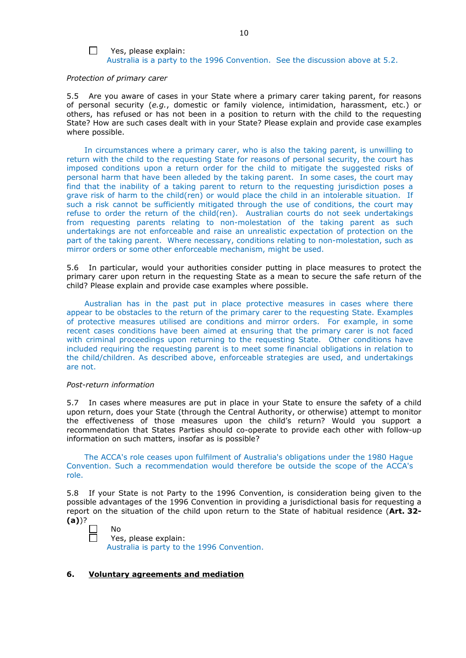### $\Box$

Yes, please explain: Australia is a party to the 1996 Convention. See the discussion above at 5.2.

#### *Protection of primary carer*

5.5 Are you aware of cases in your State where a primary carer taking parent, for reasons of personal security (*e.g.*, domestic or family violence, intimidation, harassment, etc.) or others, has refused or has not been in a position to return with the child to the requesting State? How are such cases dealt with in your State? Please explain and provide case examples where possible.

In circumstances where a primary carer, who is also the taking parent, is unwilling to return with the child to the requesting State for reasons of personal security, the court has imposed conditions upon a return order for the child to mitigate the suggested risks of personal harm that have been alleded by the taking parent. In some cases, the court may find that the inability of a taking parent to return to the requesting jurisdiction poses a grave risk of harm to the child(ren) or would place the child in an intolerable situation. If such a risk cannot be sufficiently mitigated through the use of conditions, the court may refuse to order the return of the child(ren). Australian courts do not seek undertakings from requesting parents relating to non-molestation of the taking parent as such undertakings are not enforceable and raise an unrealistic expectation of protection on the part of the taking parent. Where necessary, conditions relating to non-molestation, such as mirror orders or some other enforceable mechanism, might be used.

5.6 In particular, would your authorities consider putting in place measures to protect the primary carer upon return in the requesting State as a mean to secure the safe return of the child? Please explain and provide case examples where possible.

Australian has in the past put in place protective measures in cases where there appear to be obstacles to the return of the primary carer to the requesting State. Examples of protective measures utilised are conditions and mirror orders. For example, in some recent cases conditions have been aimed at ensuring that the primary carer is not faced with criminal proceedings upon returning to the requesting State. Other conditions have included requiring the requesting parent is to meet some financial obligations in relation to the child/children. As described above, enforceable strategies are used, and undertakings are not.

#### *Post-return information*

5.7 In cases where measures are put in place in your State to ensure the safety of a child upon return, does your State (through the Central Authority, or otherwise) attempt to monitor the effectiveness of those measures upon the child's return? Would you support a recommendation that States Parties should co-operate to provide each other with follow-up information on such matters, insofar as is possible?

The ACCA's role ceases upon fulfilment of Australia's obligations under the 1980 Hague Convention. Such a recommendation would therefore be outside the scope of the ACCA's role.

5.8 If your State is not Party to the 1996 Convention, is consideration being given to the possible advantages of the 1996 Convention in providing a jurisdictional basis for requesting a report on the situation of the child upon return to the State of habitual residence (**Art. 32- (a)**)?

No Yes, please explain: Australia is party to the 1996 Convention.

### **6. Voluntary agreements and mediation**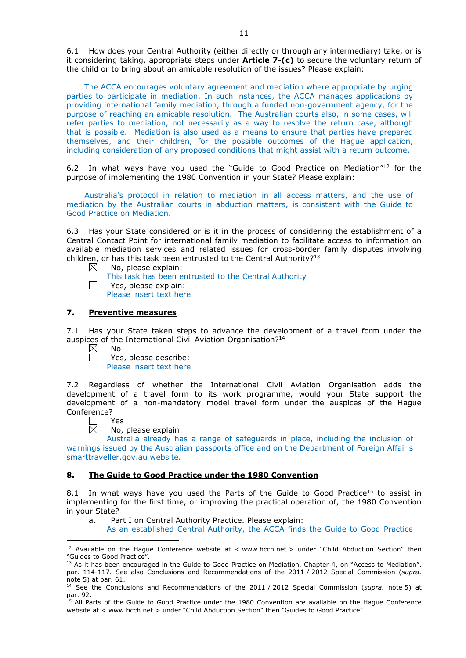6.1 How does your Central Authority (either directly or through any intermediary) take, or is it considering taking, appropriate steps under **Article 7-(c)** to secure the voluntary return of the child or to bring about an amicable resolution of the issues? Please explain:

The ACCA encourages voluntary agreement and mediation where appropriate by urging parties to participate in mediation. In such instances, the ACCA manages applications by providing international family mediation, through a funded non-government agency, for the purpose of reaching an amicable resolution. The Australian courts also, in some cases, will refer parties to mediation, not necessarily as a way to resolve the return case, although that is possible. Mediation is also used as a means to ensure that parties have prepared themselves, and their children, for the possible outcomes of the Hague application, including consideration of any proposed conditions that might assist with a return outcome.

6.2 In what ways have you used the "Guide to Good Practice on Mediation"12 for the purpose of implementing the 1980 Convention in your State? Please explain:

Australia's protocol in relation to mediation in all access matters, and the use of mediation by the Australian courts in abduction matters, is consistent with the Guide to Good Practice on Mediation.

6.3 Has your State considered or is it in the process of considering the establishment of a Central Contact Point for international family mediation to facilitate access to information on available mediation services and related issues for cross-border family disputes involving children, or has this task been entrusted to the Central Authority?<sup>13</sup><br>
No. please explain:

No, please explain:

This task has been entrusted to the Central Authority Yes, please explain: Please insert text here

# **7. Preventive measures**

7.1 Has your State taken steps to advance the development of a travel form under the auspices of the International Civil Aviation Organisation?<sup>14</sup>

 $\boxtimes$ No

 $\Box$ 

Yes, please describe:  $\Box$ Please insert text here

7.2 Regardless of whether the International Civil Aviation Organisation adds the development of a travel form to its work programme, would your State support the development of a non-mandatory model travel form under the auspices of the Hague Conference?

┍ Yes

<u>.</u>

岗 No, please explain:

Australia already has a range of safeguards in place, including the inclusion of warnings issued by the Australian passports office and on the Department of Foreign Affair's smarttraveller.gov.au website.

### **8. The Guide to Good Practice under the 1980 Convention**

8.1 In what ways have you used the Parts of the Guide to Good Practice<sup>15</sup> to assist in implementing for the first time, or improving the practical operation of, the 1980 Convention in your State?

a. Part I on Central Authority Practice. Please explain:

As an established Central Authority, the ACCA finds the Guide to Good Practice

<sup>&</sup>lt;sup>12</sup> Available on the Hague Conference website at < www.hcch.net > under "Child Abduction Section" then "Guides to Good Practice".

<sup>&</sup>lt;sup>13</sup> As it has been encouraged in the Guide to Good Practice on Mediation, Chapter 4, on "Access to Mediation". par. 114-117. See also [Conclusions and Recommendations of the 2011](https://assets.hcch.net/upload/wop/concl28sc6_e.pdf) / 2012 Special Commission (*supra.* note 5) at par. 61.

<sup>14</sup> See the [Conclusions and Recommendations of the 2011](https://assets.hcch.net/upload/wop/concl28sc6_e.pdf) / 2012 Special Commission (*supra.* note 5) at par. 92.

<sup>15</sup> All Parts of the Guide to Good Practice under the 1980 Convention are available on the Hague Conference website at < www.hcch.net > under "Child Abduction Section" then "Guides to Good Practice".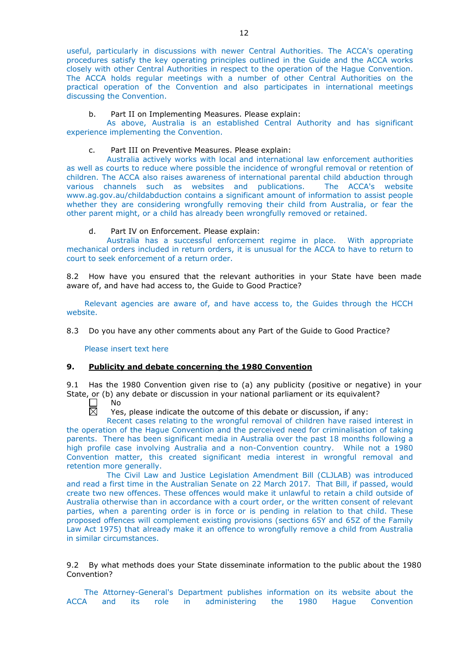useful, particularly in discussions with newer Central Authorities. The ACCA's operating procedures satisfy the key operating principles outlined in the Guide and the ACCA works closely with other Central Authorities in respect to the operation of the Hague Convention. The ACCA holds regular meetings with a number of other Central Authorities on the practical operation of the Convention and also participates in international meetings discussing the Convention.

### b. Part II on Implementing Measures. Please explain:

As above, Australia is an established Central Authority and has significant experience implementing the Convention.

c. Part III on Preventive Measures. Please explain:

Australia actively works with local and international law enforcement authorities as well as courts to reduce where possible the incidence of wrongful removal or retention of children. The ACCA also raises awareness of international parental child abduction through various channels such as websites and publications. The ACCA's website www.ag.gov.au/childabduction contains a significant amount of information to assist people whether they are considering wrongfully removing their child from Australia, or fear the other parent might, or a child has already been wrongfully removed or retained.

### d. Part IV on Enforcement. Please explain:

Australia has a successful enforcement regime in place. With appropriate mechanical orders included in return orders, it is unusual for the ACCA to have to return to court to seek enforcement of a return order.

8.2 How have you ensured that the relevant authorities in your State have been made aware of, and have had access to, the Guide to Good Practice?

Relevant agencies are aware of, and have access to, the Guides through the HCCH website.

8.3 Do you have any other comments about any Part of the Guide to Good Practice?

Please insert text here

### **9. Publicity and debate concerning the 1980 Convention**

9.1 Has the 1980 Convention given rise to (a) any publicity (positive or negative) in your State, or (b) any debate or discussion in your national parliament or its equivalent?

П No  $\overline{\boxtimes}$ 

Yes, please indicate the outcome of this debate or discussion, if any:

Recent cases relating to the wrongful removal of children have raised interest in the operation of the Hague Convention and the perceived need for criminalisation of taking parents. There has been significant media in Australia over the past 18 months following a high profile case involving Australia and a non-Convention country. While not a 1980 Convention matter, this created significant media interest in wrongful removal and retention more generally.

The Civil Law and Justice Legislation Amendment Bill (CLJLAB) was introduced and read a first time in the Australian Senate on 22 March 2017. That Bill, if passed, would create two new offences. These offences would make it unlawful to retain a child outside of Australia otherwise than in accordance with a court order, or the written consent of relevant parties, when a parenting order is in force or is pending in relation to that child. These proposed offences will complement existing provisions (sections 65Y and 65Z of the Family Law Act 1975) that already make it an offence to wrongfully remove a child from Australia in similar circumstances.

9.2 By what methods does your State disseminate information to the public about the 1980 Convention?

The Attorney-General's Department publishes information on its website about the ACCA and its role in administering the 1980 Hague Convention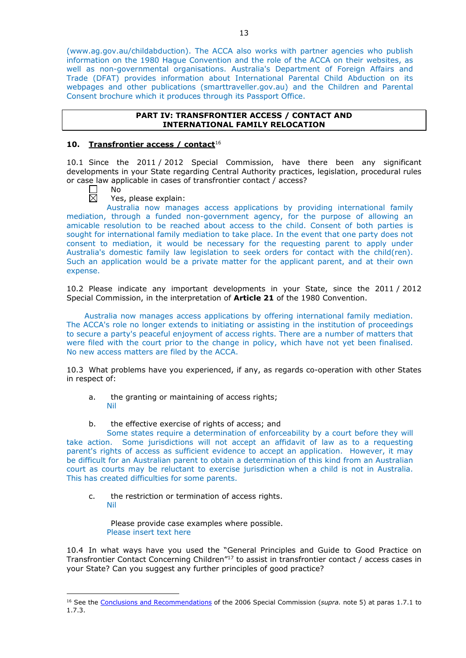(www.ag.gov.au/childabduction). The ACCA also works with partner agencies who publish information on the 1980 Hague Convention and the role of the ACCA on their websites, as well as non-governmental organisations. Australia's Department of Foreign Affairs and Trade (DFAT) provides information about International Parental Child Abduction on its webpages and other publications (smarttraveller.gov.au) and the Children and Parental Consent brochure which it produces through its Passport Office.

## **PART IV: TRANSFRONTIER ACCESS / CONTACT AND INTERNATIONAL FAMILY RELOCATION**

# **10. Transfrontier access / contact**<sup>16</sup>

10.1 Since the 2011 / 2012 Special Commission, have there been any significant developments in your State regarding Central Authority practices, legislation, procedural rules or case law applicable in cases of transfrontier contact / access?

Yes, please explain:

Australia now manages access applications by providing international family mediation, through a funded non-government agency, for the purpose of allowing an amicable resolution to be reached about access to the child. Consent of both parties is sought for international family mediation to take place. In the event that one party does not consent to mediation, it would be necessary for the requesting parent to apply under Australia's domestic family law legislation to seek orders for contact with the child(ren). Such an application would be a private matter for the applicant parent, and at their own expense.

10.2 Please indicate any important developments in your State, since the 2011 / 2012 Special Commission, in the interpretation of **Article 21** of the 1980 Convention.

Australia now manages access applications by offering international family mediation. The ACCA's role no longer extends to initiating or assisting in the institution of proceedings to secure a party's peaceful enjoyment of access rights. There are a number of matters that were filed with the court prior to the change in policy, which have not yet been finalised. No new access matters are filed by the ACCA.

10.3 What problems have you experienced, if any, as regards co-operation with other States in respect of:

- a. the granting or maintaining of access rights; Nil
- b. the effective exercise of rights of access; and

Some states require a determination of enforceability by a court before they will take action. Some jurisdictions will not accept an affidavit of law as to a requesting parent's rights of access as sufficient evidence to accept an application. However, it may be difficult for an Australian parent to obtain a determination of this kind from an Australian court as courts may be reluctant to exercise jurisdiction when a child is not in Australia. This has created difficulties for some parents.

c. the restriction or termination of access rights. Nil

Please provide case examples where possible.

Please insert text here

-

10.4 In what ways have you used the "General Principles and Guide to Good Practice on Transfrontier Contact Concerning Children"17 to assist in transfrontier contact / access cases in your State? Can you suggest any further principles of good practice?

No  $\boxtimes$ 

<sup>16</sup> See the [Conclusions and Recommendations](https://assets.hcch.net/upload/concl28sc5_e.pdf) of the 2006 Special Commission (*supra.* note 5) at paras 1.7.1 to 1.7.3.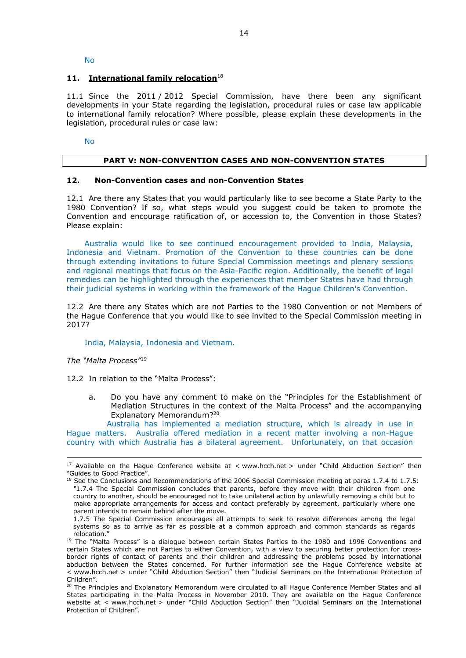No

### 11. **International family relocation**<sup>18</sup>

11.1 Since the 2011 / 2012 Special Commission, have there been any significant developments in your State regarding the legislation, procedural rules or case law applicable to international family relocation? Where possible, please explain these developments in the legislation, procedural rules or case law:

No

### **PART V: NON-CONVENTION CASES AND NON-CONVENTION STATES**

## **12. Non-Convention cases and non-Convention States**

12.1 Are there any States that you would particularly like to see become a State Party to the 1980 Convention? If so, what steps would you suggest could be taken to promote the Convention and encourage ratification of, or accession to, the Convention in those States? Please explain:

Australia would like to see continued encouragement provided to India, Malaysia, Indonesia and Vietnam. Promotion of the Convention to these countries can be done through extending invitations to future Special Commission meetings and plenary sessions and regional meetings that focus on the Asia-Pacific region. Additionally, the benefit of legal remedies can be highlighted through the experiences that member States have had through their judicial systems in working within the framework of the Hague Children's Convention.

12.2 Are there any States which are not Parties to the 1980 Convention or not Members of the Hague Conference that you would like to see invited to the Special Commission meeting in 2017?

#### India, Malaysia, Indonesia and Vietnam.

*The "Malta Process"*<sup>19</sup>

-

12.2 In relation to the "Malta Process":

a. Do you have any comment to make on the "Principles for the Establishment of Mediation Structures in the context of the Malta Process" and the accompanying Explanatory Memorandum?20

Australia has implemented a mediation structure, which is already in use in Hague matters. Australia offered mediation in a recent matter involving a non-Hague country with which Australia has a bilateral agreement. Unfortunately, on that occasion

<sup>&</sup>lt;sup>17</sup> Available on the Hague Conference website at < www.hcch.net > under "Child Abduction Section" then "Guides to Good Practice".

 $18$  See the Conclusions and Recommendations of the 2006 Special Commission meeting at paras 1.7.4 to 1.7.5: *"*1.7.4 The Special Commission concludes that parents, before they move with their children from one country to another, should be encouraged not to take unilateral action by unlawfully removing a child but to make appropriate arrangements for access and contact preferably by agreement, particularly where one parent intends to remain behind after the move.

<sup>1.7.5</sup> The Special Commission encourages all attempts to seek to resolve differences among the legal systems so as to arrive as far as possible at a common approach and common standards as regards relocation."

<sup>&</sup>lt;sup>19</sup> The "Malta Process" is a dialogue between certain States Parties to the 1980 and 1996 Conventions and certain States which are not Parties to either Convention, with a view to securing better protection for crossborder rights of contact of parents and their children and addressing the problems posed by international abduction between the States concerned. For further information see the Hague Conference website at < www.hcch.net > under "Child Abduction Section" then "Judicial Seminars on the International Protection of Children".

<sup>20</sup> The Principles and Explanatory Memorandum were circulated to all Hague Conference Member States and all States participating in the Malta Process in November 2010. They are available on the Hague Conference website at < www.hcch.net > under "Child Abduction Section" then "Judicial Seminars on the International Protection of Children".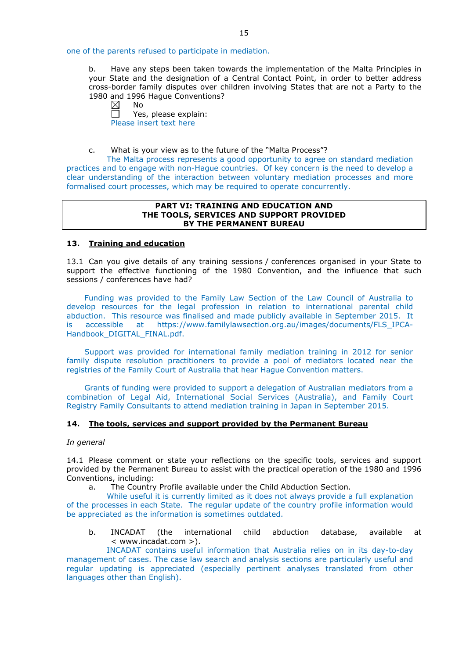one of the parents refused to participate in mediation.

b. Have any steps been taken towards the implementation of the Malta Principles in your State and the designation of a Central Contact Point, in order to better address cross-border family disputes over children involving States that are not a Party to the 1980 and 1996 Hague Conventions?

 $\boxtimes$ No

Yes, please explain: Please insert text here

c. What is your view as to the future of the "Malta Process"?

The Malta process represents a good opportunity to agree on standard mediation practices and to engage with non-Hague countries. Of key concern is the need to develop a clear understanding of the interaction between voluntary mediation processes and more formalised court processes, which may be required to operate concurrently.

### **PART VI: TRAINING AND EDUCATION AND THE TOOLS, SERVICES AND SUPPORT PROVIDED BY THE PERMANENT BUREAU**

## **13. Training and education**

13.1 Can you give details of any training sessions / conferences organised in your State to support the effective functioning of the 1980 Convention, and the influence that such sessions / conferences have had?

Funding was provided to the Family Law Section of the Law Council of Australia to develop resources for the legal profession in relation to international parental child abduction. This resource was finalised and made publicly available in September 2015. It is accessible at https://www.familylawsection.org.au/images/documents/FLS\_IPCA-Handbook\_DIGITAL\_FINAL.pdf.

Support was provided for international family mediation training in 2012 for senior family dispute resolution practitioners to provide a pool of mediators located near the registries of the Family Court of Australia that hear Hague Convention matters.

Grants of funding were provided to support a delegation of Australian mediators from a combination of Legal Aid, International Social Services (Australia), and Family Court Registry Family Consultants to attend mediation training in Japan in September 2015.

# **14. The tools, services and support provided by the Permanent Bureau**

### *In general*

14.1 Please comment or state your reflections on the specific tools, services and support provided by the Permanent Bureau to assist with the practical operation of the 1980 and 1996 Conventions, including:

a. The Country Profile available under the Child Abduction Section.

While useful it is currently limited as it does not always provide a full explanation of the processes in each State. The regular update of the country profile information would be appreciated as the information is sometimes outdated.

b. INCADAT (the international child abduction database, available at < www.incadat.com >).

INCADAT contains useful information that Australia relies on in its day-to-day management of cases. The case law search and analysis sections are particularly useful and regular updating is appreciated (especially pertinent analyses translated from other languages other than English).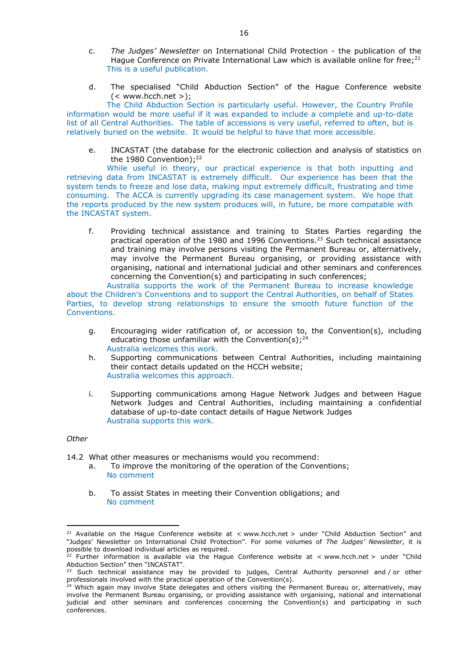- c. *The Judges' Newsletter* on International Child Protection the publication of the Hague Conference on Private International Law which is available online for free; $2^1$ This is a useful publication.
- d. The specialised "Child Abduction Section" of the Hague Conference website (< www.hcch.net >);

The Child Abduction Section is particularly useful. However, the Country Profile information would be more useful if it was expanded to include a complete and up-to-date list of all Central Authorities. The table of accessions is very useful, referred to often, but is relatively buried on the website. It would be helpful to have that more accessible.

e. INCASTAT (the database for the electronic collection and analysis of statistics on the 1980 Convention);<sup>22</sup>

While useful in theory, our practical experience is that both inputting and retrieving data from INCASTAT is extremely difficult. Our experience has been that the system tends to freeze and lose data, making input extremely difficult, frustrating and time consuming. The ACCA is currently upgrading its case management system. We hope that the reports produced by the new system produces will, in future, be more compatable with the INCASTAT system.

f. Providing technical assistance and training to States Parties regarding the practical operation of the 1980 and 1996 Conventions.23 Such technical assistance and training may involve persons visiting the Permanent Bureau or, alternatively, may involve the Permanent Bureau organising, or providing assistance with organising, national and international judicial and other seminars and conferences concerning the Convention(s) and participating in such conferences;

Australia supports the work of the Permanent Bureau to increase knowledge about the Children's Conventions and to support the Central Authorities, on behalf of States Parties, to develop strong relationships to ensure the smooth future function of the Conventions.

- g. Encouraging wider ratification of, or accession to, the Convention(s), including educating those unfamiliar with the Convention(s):  $24$ Australia welcomes this work.
- h. Supporting communications between Central Authorities, including maintaining their contact details updated on the HCCH website; Australia welcomes this approach.
- i. Supporting communications among Hague Network Judges and between Hague Network Judges and Central Authorities, including maintaining a confidential database of up-to-date contact details of Hague Network Judges Australia supports this work.

## *Other*

<u>.</u>

14.2 What other measures or mechanisms would you recommend:

- a. To improve the monitoring of the operation of the Conventions; No comment
- b. To assist States in meeting their Convention obligations; and No comment

<sup>&</sup>lt;sup>21</sup> Available on the Hague Conference website at < www.hcch.net > under "Child Abduction Section" and "Judges' Newsletter on International Child Protection". For some volumes of *The Judges' Newsletter*, it is possible to download individual articles as required.

<sup>&</sup>lt;sup>22</sup> Further information is available via the Hague Conference website at  $\lt$  www.hcch.net  $>$  under "Child Abduction Section" then "INCASTAT".

 $^{23}$  Such technical assistance may be provided to judges, Central Authority personnel and / or other professionals involved with the practical operation of the Convention(s).

<sup>&</sup>lt;sup>24</sup> Which again may involve State delegates and others visiting the Permanent Bureau or, alternatively, may involve the Permanent Bureau organising, or providing assistance with organising, national and international judicial and other seminars and conferences concerning the Convention(s) and participating in such conferences.